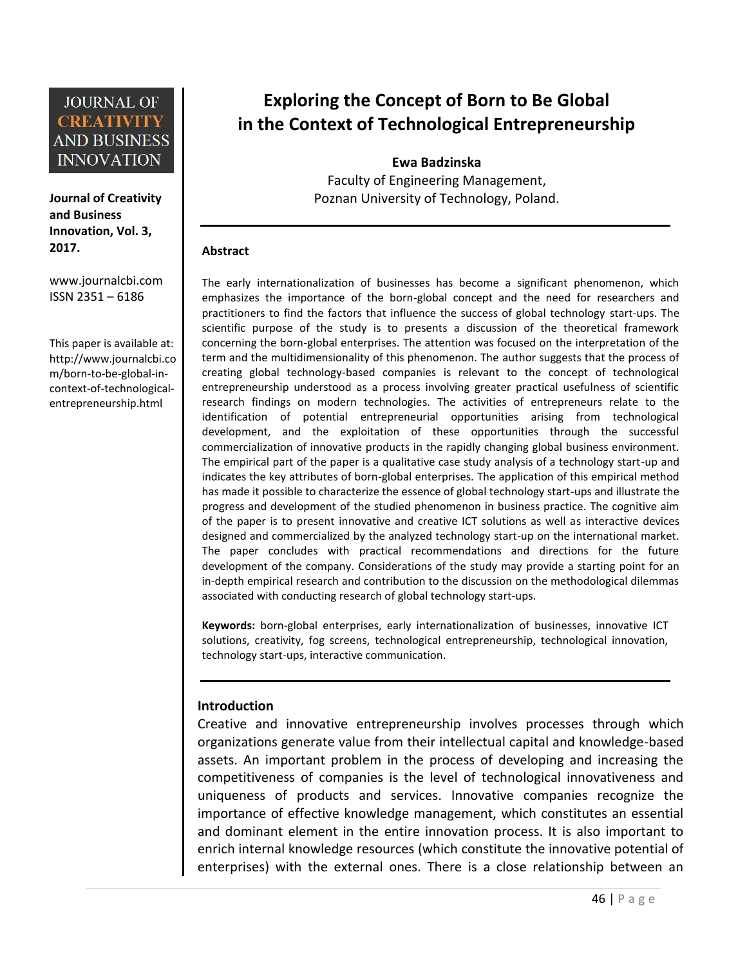**Journal of Creativity and Business Innovation, Vol. 3, 2017.**

[www.journalcbi.com](http://www.journalcbi.com/) ISSN 2351 – 6186

This paper is available at: [http://www.journalcbi.co](http://www.journalcbi.com/ideation-using-analogies.html) [m/born-to-be-global-in](http://www.journalcbi.com/ideation-using-analogies.html)[context-of-technological](http://www.journalcbi.com/ideation-using-analogies.html)[entrepreneurship.html](http://www.journalcbi.com/ideation-using-analogies.html)

# **Exploring the Concept of Born to Be Global in the Context of Technological Entrepreneurship**

**Ewa Badzinska** Faculty of Engineering Management, Poznan University of Technology, Poland.

#### **Abstract**

The early internationalization of businesses has become a significant phenomenon, which emphasizes the importance of the born-global concept and the need for researchers and practitioners to find the factors that influence the success of global technology start-ups. The scientific purpose of the study is to presents a discussion of the theoretical framework concerning the born-global enterprises. The attention was focused on the interpretation of the term and the multidimensionality of this phenomenon. The author suggests that the process of creating global technology-based companies is relevant to the concept of technological entrepreneurship understood as a process involving greater practical usefulness of scientific research findings on modern technologies. The activities of entrepreneurs relate to the identification of potential entrepreneurial opportunities arising from technological development, and the exploitation of these opportunities through the successful commercialization of innovative products in the rapidly changing global business environment. The empirical part of the paper is a qualitative case study analysis of a technology start-up and indicates the key attributes of born-global enterprises. The application of this empirical method has made it possible to characterize the essence of global technology start-ups and illustrate the progress and development of the studied phenomenon in business practice. The cognitive aim of the paper is to present innovative and creative ICT solutions as well as interactive devices designed and commercialized by the analyzed technology start-up on the international market. The paper concludes with practical recommendations and directions for the future development of the company. Considerations of the study may provide a starting point for an in-depth empirical research and contribution to the discussion on the methodological dilemmas associated with conducting research of global technology start-ups.

**Keywords:** born-global enterprises, early internationalization of businesses, innovative ICT solutions, creativity, fog screens, technological entrepreneurship, technological innovation, technology start-ups, interactive communication.

#### **Introduction**

Creative and innovative entrepreneurship involves processes through which organizations generate value from their intellectual capital and knowledge-based assets. An important problem in the process of developing and increasing the competitiveness of companies is the level of technological innovativeness and uniqueness of products and services. Innovative companies recognize the importance of effective knowledge management, which constitutes an essential and dominant element in the entire innovation process. It is also important to enrich internal knowledge resources (which constitute the innovative potential of enterprises) with the external ones. There is a close relationship between an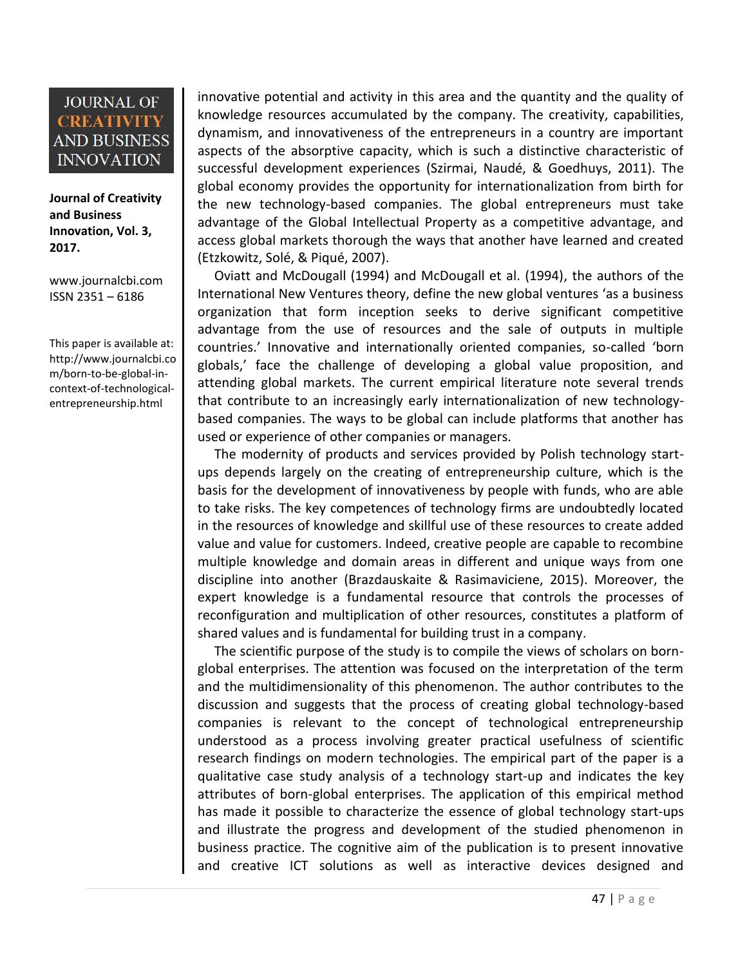**Journal of Creativity and Business Innovation, Vol. 3, 2017.**

[www.journalcbi.com](http://www.journalcbi.com/) ISSN 2351 – 6186

This paper is available at: [http://www.journalcbi.co](http://www.journalcbi.com/ideation-using-analogies.html) [m/born-to-be-global-in](http://www.journalcbi.com/ideation-using-analogies.html)[context-of-technological](http://www.journalcbi.com/ideation-using-analogies.html)[entrepreneurship.html](http://www.journalcbi.com/ideation-using-analogies.html)

innovative potential and activity in this area and the quantity and the quality of knowledge resources accumulated by the company. The creativity, capabilities, dynamism, and innovativeness of the entrepreneurs in a country are important aspects of the absorptive capacity, which is such a distinctive characteristic of successful development experiences (Szirmai, Naudé, & Goedhuys, 2011). The global economy provides the opportunity for internationalization from birth for the new technology-based companies. The global entrepreneurs must take advantage of the Global Intellectual Property as a competitive advantage, and access global markets thorough the ways that another have learned and created (Etzkowitz, Solé, & Piqué, 2007).

 Oviatt and McDougall (1994) and McDougall et al. (1994), the authors of the International New Ventures theory, define the new global ventures 'as a business organization that form inception seeks to derive significant competitive advantage from the use of resources and the sale of outputs in multiple countries.' Innovative and internationally oriented companies, so-called 'born globals,' face the challenge of developing a global value proposition, and attending global markets. The current empirical literature note several trends that contribute to an increasingly early internationalization of new technologybased companies. The ways to be global can include platforms that another has used or experience of other companies or managers.

 The modernity of products and services provided by Polish technology startups depends largely on the creating of entrepreneurship culture, which is the basis for the development of innovativeness by people with funds, who are able to take risks. The key competences of technology firms are undoubtedly located in the resources of knowledge and skillful use of these resources to create added value and value for customers. Indeed, creative people are capable to recombine multiple knowledge and domain areas in different and unique ways from one discipline into another (Brazdauskaite & Rasimaviciene, 2015). Moreover, the expert knowledge is a fundamental resource that controls the processes of reconfiguration and multiplication of other resources, constitutes a platform of shared values and is fundamental for building trust in a company.

 The scientific purpose of the study is to compile the views of scholars on bornglobal enterprises. The attention was focused on the interpretation of the term and the multidimensionality of this phenomenon. The author contributes to the discussion and suggests that the process of creating global technology-based companies is relevant to the concept of technological entrepreneurship understood as a process involving greater practical usefulness of scientific research findings on modern technologies. The empirical part of the paper is a qualitative case study analysis of a technology start-up and indicates the key attributes of born-global enterprises. The application of this empirical method has made it possible to characterize the essence of global technology start-ups and illustrate the progress and development of the studied phenomenon in business practice. The cognitive aim of the publication is to present innovative and creative ICT solutions as well as interactive devices designed and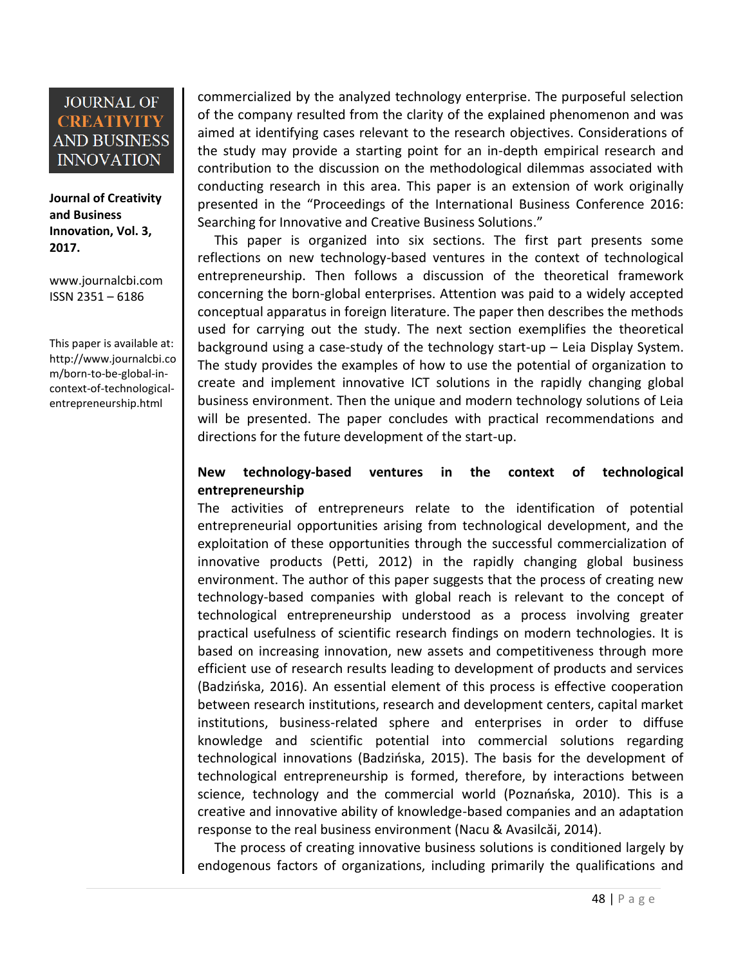**Journal of Creativity and Business Innovation, Vol. 3, 2017.**

[www.journalcbi.com](http://www.journalcbi.com/) ISSN 2351 – 6186

This paper is available at: [http://www.journalcbi.co](http://www.journalcbi.com/ideation-using-analogies.html) [m/born-to-be-global-in](http://www.journalcbi.com/ideation-using-analogies.html)[context-of-technological](http://www.journalcbi.com/ideation-using-analogies.html)[entrepreneurship.html](http://www.journalcbi.com/ideation-using-analogies.html)

commercialized by the analyzed technology enterprise. The purposeful selection of the company resulted from the clarity of the explained phenomenon and was aimed at identifying cases relevant to the research objectives. Considerations of the study may provide a starting point for an in-depth empirical research and contribution to the discussion on the methodological dilemmas associated with conducting research in this area. This paper is an extension of work originally presented in the "Proceedings of the International Business Conference 2016: Searching for Innovative and Creative Business Solutions."

 This paper is organized into six sections. The first part presents some reflections on new technology-based ventures in the context of technological entrepreneurship. Then follows a discussion of the theoretical framework concerning the born-global enterprises. Attention was paid to a widely accepted conceptual apparatus in foreign literature. The paper then describes the methods used for carrying out the study. The next section exemplifies the theoretical background using a case-study of the technology start-up – Leia Display System. The study provides the examples of how to use the potential of organization to create and implement innovative ICT solutions in the rapidly changing global business environment. Then the unique and modern technology solutions of Leia will be presented. The paper concludes with practical recommendations and directions for the future development of the start-up.

#### **New technology-based ventures in the context of technological entrepreneurship**

The activities of entrepreneurs relate to the identification of potential entrepreneurial opportunities arising from technological development, and the exploitation of these opportunities through the successful commercialization of innovative products (Petti, 2012) in the rapidly changing global business environment. The author of this paper suggests that the process of creating new technology-based companies with global reach is relevant to the concept of technological entrepreneurship understood as a process involving greater practical usefulness of scientific research findings on modern technologies. It is based on increasing innovation, new assets and competitiveness through more efficient use of research results leading to development of products and services (Badzińska, 2016). An essential element of this process is effective cooperation between research institutions, research and development centers, capital market institutions, business-related sphere and enterprises in order to diffuse knowledge and scientific potential into commercial solutions regarding technological innovations (Badzińska, 2015). The basis for the development of technological entrepreneurship is formed, therefore, by interactions between science, technology and the commercial world (Poznańska, 2010). This is a creative and innovative ability of knowledge-based companies and an adaptation response to the real business environment (Nacu & Avasilcăi, 2014).

 The process of creating innovative business solutions is conditioned largely by endogenous factors of organizations, including primarily the qualifications and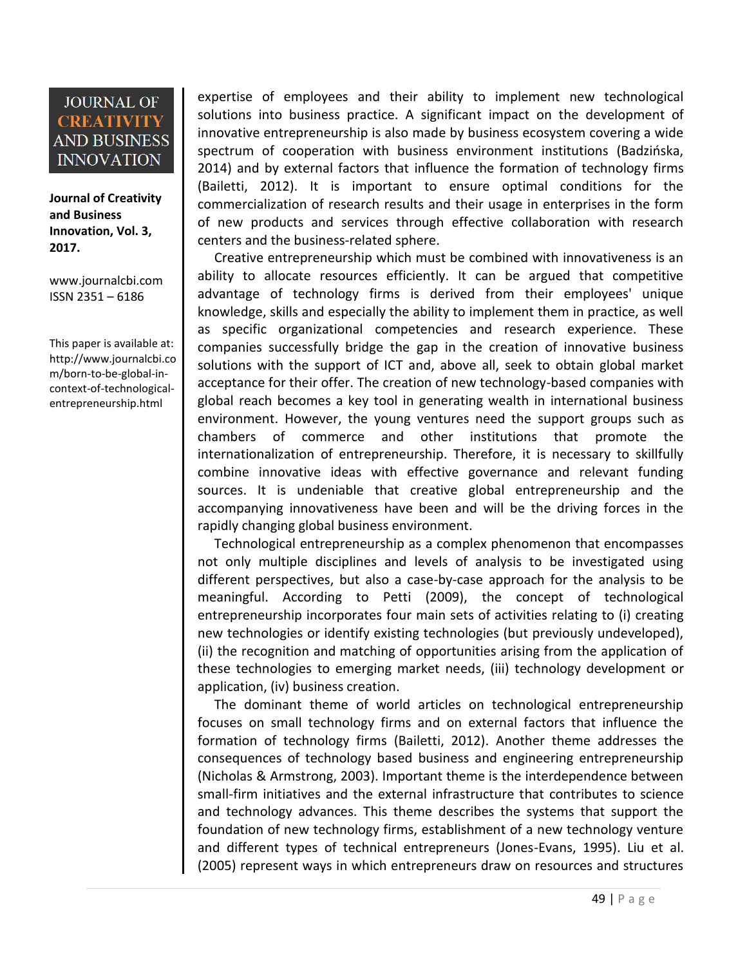**Journal of Creativity and Business Innovation, Vol. 3, 2017.**

[www.journalcbi.com](http://www.journalcbi.com/) ISSN 2351 – 6186

This paper is available at: [http://www.journalcbi.co](http://www.journalcbi.com/ideation-using-analogies.html) [m/born-to-be-global-in](http://www.journalcbi.com/ideation-using-analogies.html)[context-of-technological](http://www.journalcbi.com/ideation-using-analogies.html)[entrepreneurship.html](http://www.journalcbi.com/ideation-using-analogies.html)

expertise of employees and their ability to implement new technological solutions into business practice. A significant impact on the development of innovative entrepreneurship is also made by business ecosystem covering a wide spectrum of cooperation with business environment institutions (Badzińska, 2014) and by external factors that influence the formation of technology firms (Bailetti, 2012). It is important to ensure optimal conditions for the commercialization of research results and their usage in enterprises in the form of new products and services through effective collaboration with research centers and the business-related sphere.

 Creative entrepreneurship which must be combined with innovativeness is an ability to allocate resources efficiently. It can be argued that competitive advantage of technology firms is derived from their employees' unique knowledge, skills and especially the ability to implement them in practice, as well as specific organizational competencies and research experience. These companies successfully bridge the gap in the creation of innovative business solutions with the support of ICT and, above all, seek to obtain global market acceptance for their offer. The creation of new technology-based companies with global reach becomes a key tool in generating wealth in international business environment. However, the young ventures need the support groups such as chambers of commerce and other institutions that promote the internationalization of entrepreneurship. Therefore, it is necessary to skillfully combine innovative ideas with effective governance and relevant funding sources. It is undeniable that creative global entrepreneurship and the accompanying innovativeness have been and will be the driving forces in the rapidly changing global business environment.

 Technological entrepreneurship as a complex phenomenon that encompasses not only multiple disciplines and levels of analysis to be investigated using different perspectives, but also a case-by-case approach for the analysis to be meaningful. According to Petti (2009), the concept of technological entrepreneurship incorporates four main sets of activities relating to (i) creating new technologies or identify existing technologies (but previously undeveloped), (ii) the recognition and matching of opportunities arising from the application of these technologies to emerging market needs, (iii) technology development or application, (iv) business creation.

 The dominant theme of world articles on technological entrepreneurship focuses on small technology firms and on external factors that influence the formation of technology firms (Bailetti, 2012). Another theme addresses the consequences of technology based business and engineering entrepreneurship (Nicholas & Armstrong, 2003). Important theme is the interdependence between small-firm initiatives and the external infrastructure that contributes to science and technology advances. This theme describes the systems that support the foundation of new technology firms, establishment of a new technology venture and different types of technical entrepreneurs (Jones-Evans, 1995). Liu et al. (2005) represent ways in which entrepreneurs draw on resources and structures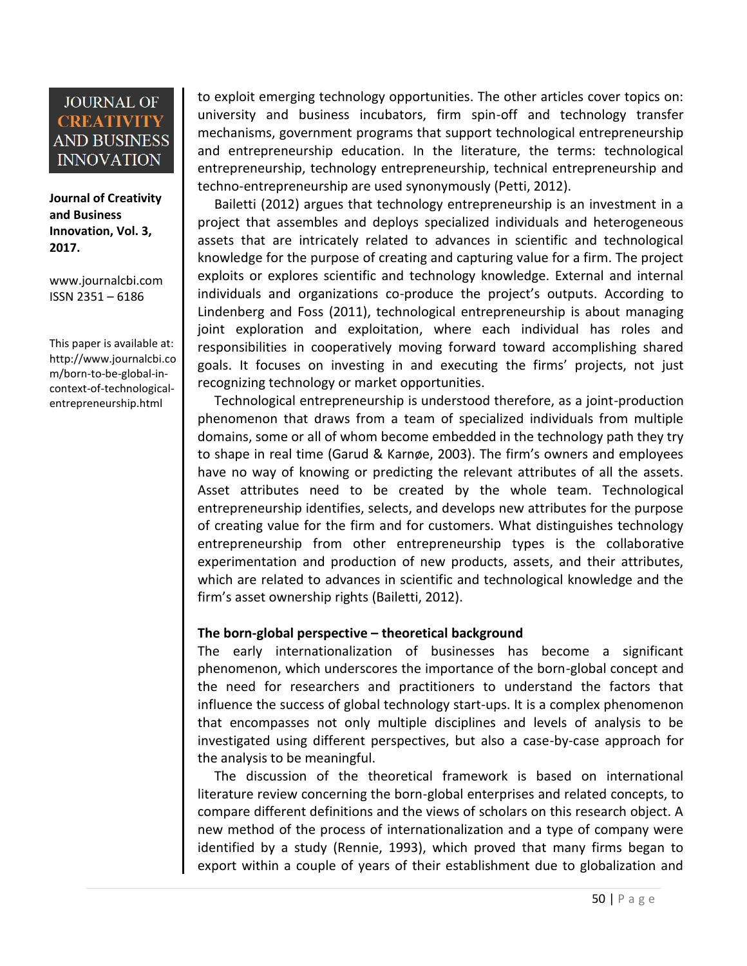**Journal of Creativity and Business Innovation, Vol. 3, 2017.**

[www.journalcbi.com](http://www.journalcbi.com/) ISSN 2351 – 6186

This paper is available at: [http://www.journalcbi.co](http://www.journalcbi.com/ideation-using-analogies.html) [m/born-to-be-global-in](http://www.journalcbi.com/ideation-using-analogies.html)[context-of-technological](http://www.journalcbi.com/ideation-using-analogies.html)[entrepreneurship.html](http://www.journalcbi.com/ideation-using-analogies.html)

to exploit emerging technology opportunities. The other articles cover topics on: university and business incubators, firm spin-off and technology transfer mechanisms, government programs that support technological entrepreneurship and entrepreneurship education. In the literature, the terms: technological entrepreneurship, technology entrepreneurship, technical entrepreneurship and techno-entrepreneurship are used synonymously (Petti, 2012).

 Bailetti (2012) argues that technology entrepreneurship is an investment in a project that assembles and deploys specialized individuals and heterogeneous assets that are intricately related to advances in scientific and technological knowledge for the purpose of creating and capturing value for a firm. The project exploits or explores scientific and technology knowledge. External and internal individuals and organizations co-produce the project's outputs. According to Lindenberg and Foss (2011), technological entrepreneurship is about managing joint exploration and exploitation, where each individual has roles and responsibilities in cooperatively moving forward toward accomplishing shared goals. It focuses on investing in and executing the firms' projects, not just recognizing technology or market opportunities.

 Technological entrepreneurship is understood therefore, as a joint-production phenomenon that draws from a team of specialized individuals from multiple domains, some or all of whom become embedded in the technology path they try to shape in real time (Garud & Karnøe, 2003). The firm's owners and employees have no way of knowing or predicting the relevant attributes of all the assets. Asset attributes need to be created by the whole team. Technological entrepreneurship identifies, selects, and develops new attributes for the purpose of creating value for the firm and for customers. What distinguishes technology entrepreneurship from other entrepreneurship types is the collaborative experimentation and production of new products, assets, and their attributes, which are related to advances in scientific and technological knowledge and the firm's asset ownership rights (Bailetti, 2012).

#### **The born-global perspective – theoretical background**

The early internationalization of businesses has become a significant phenomenon, which underscores the importance of the born-global concept and the need for researchers and practitioners to understand the factors that influence the success of global technology start-ups. It is a complex phenomenon that encompasses not only multiple disciplines and levels of analysis to be investigated using different perspectives, but also a case-by-case approach for the analysis to be meaningful.

 The discussion of the theoretical framework is based on international literature review concerning the born-global enterprises and related concepts, to compare different definitions and the views of scholars on this research object. A new method of the process of internationalization and a type of company were identified by a study (Rennie, 1993), which proved that many firms began to export within a couple of years of their establishment due to globalization and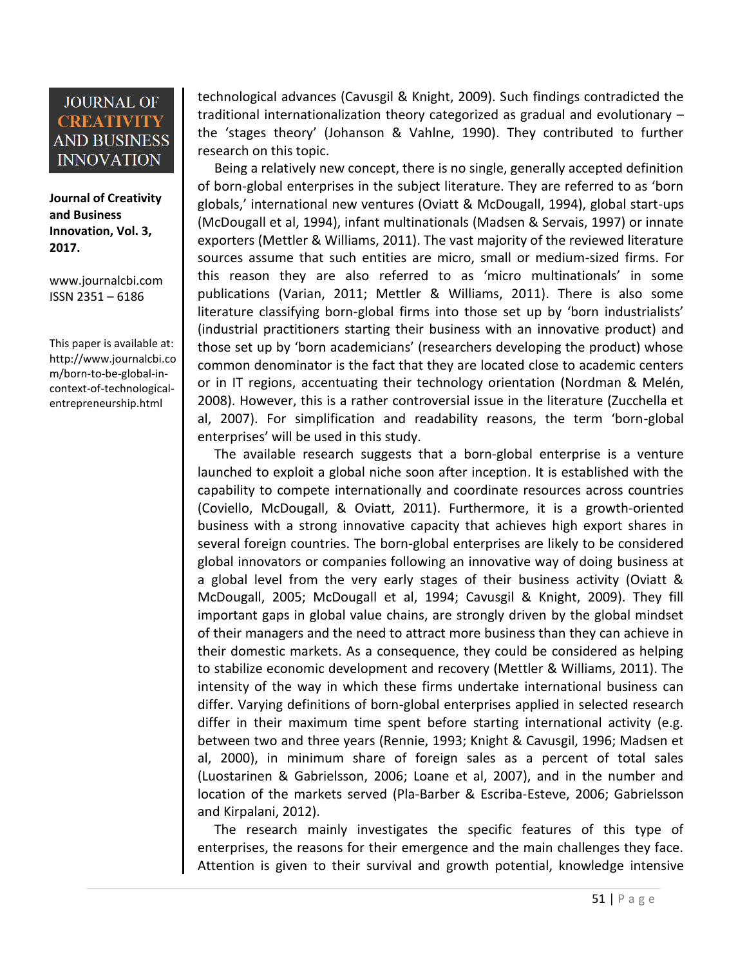**Journal of Creativity and Business Innovation, Vol. 3, 2017.**

[www.journalcbi.com](http://www.journalcbi.com/) ISSN 2351 – 6186

This paper is available at: [http://www.journalcbi.co](http://www.journalcbi.com/ideation-using-analogies.html) [m/born-to-be-global-in](http://www.journalcbi.com/ideation-using-analogies.html)[context-of-technological](http://www.journalcbi.com/ideation-using-analogies.html)[entrepreneurship.html](http://www.journalcbi.com/ideation-using-analogies.html)

technological advances (Cavusgil & Knight, 2009). Such findings contradicted the traditional internationalization theory categorized as gradual and evolutionary – the 'stages theory' (Johanson & Vahlne, 1990). They contributed to further research on this topic.

 Being a relatively new concept, there is no single, generally accepted definition of born-global enterprises in the subject literature. They are referred to as 'born globals,' international new ventures (Oviatt & McDougall, 1994), global start-ups (McDougall et al, 1994), infant multinationals (Madsen & Servais, 1997) or innate exporters (Mettler & Williams, 2011). The vast majority of the reviewed literature sources assume that such entities are micro, small or medium-sized firms. For this reason they are also referred to as 'micro multinationals' in some publications (Varian, 2011; Mettler & Williams, 2011). There is also some literature classifying born-global firms into those set up by 'born industrialists' (industrial practitioners starting their business with an innovative product) and those set up by 'born academicians' (researchers developing the product) whose common denominator is the fact that they are located close to academic centers or in IT regions, accentuating their technology orientation (Nordman & Melén, 2008). However, this is a rather controversial issue in the literature (Zucchella et al, 2007). For simplification and readability reasons, the term 'born-global enterprises' will be used in this study.

 The available research suggests that a born-global enterprise is a venture launched to exploit a global niche soon after inception. It is established with the capability to compete internationally and coordinate resources across countries (Coviello, McDougall, & Oviatt, 2011). Furthermore, it is a growth-oriented business with a strong innovative capacity that achieves high export shares in several foreign countries. The born-global enterprises are likely to be considered global innovators or companies following an innovative way of doing business at a global level from the very early stages of their business activity (Oviatt & McDougall, 2005; McDougall et al, 1994; Cavusgil & Knight, 2009). They fill important gaps in global value chains, are strongly driven by the global mindset of their managers and the need to attract more business than they can achieve in their domestic markets. As a consequence, they could be considered as helping to stabilize economic development and recovery (Mettler & Williams, 2011). The intensity of the way in which these firms undertake international business can differ. Varying definitions of born-global enterprises applied in selected research differ in their maximum time spent before starting international activity (e.g. between two and three years (Rennie, 1993; Knight & Cavusgil, 1996; Madsen et al, 2000), in minimum share of foreign sales as a percent of total sales (Luostarinen & Gabrielsson, 2006; Loane et al, 2007), and in the number and location of the markets served (Pla-Barber & Escriba-Esteve, 2006; Gabrielsson and Kirpalani, 2012).

 The research mainly investigates the specific features of this type of enterprises, the reasons for their emergence and the main challenges they face. Attention is given to their survival and growth potential, knowledge intensive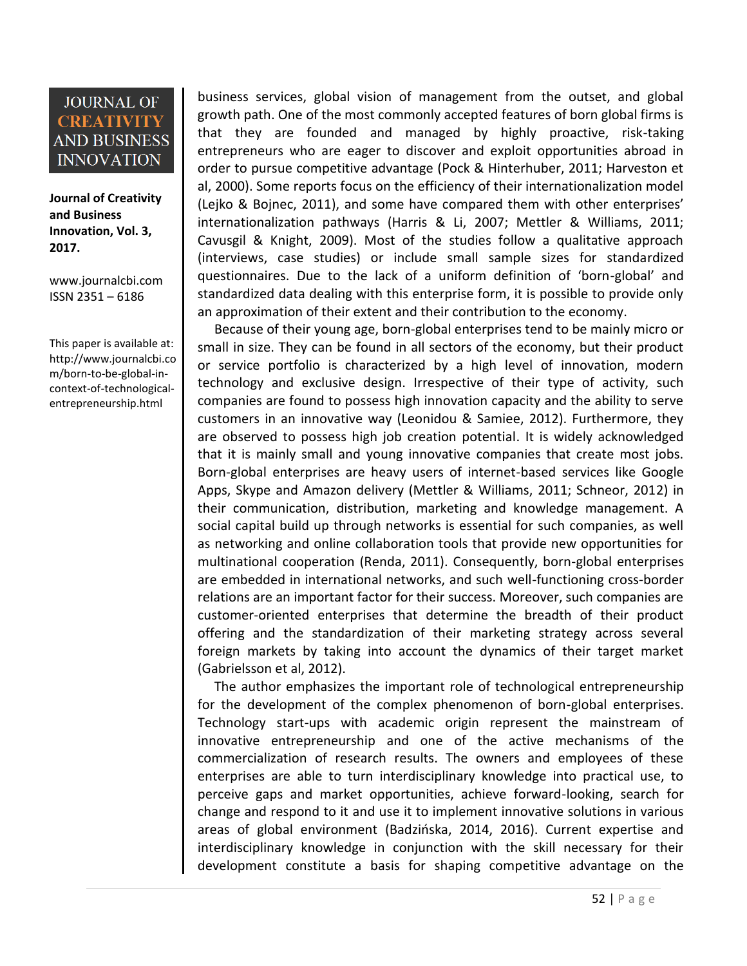**Journal of Creativity and Business Innovation, Vol. 3, 2017.**

[www.journalcbi.com](http://www.journalcbi.com/) ISSN 2351 – 6186

This paper is available at: [http://www.journalcbi.co](http://www.journalcbi.com/ideation-using-analogies.html) [m/born-to-be-global-in](http://www.journalcbi.com/ideation-using-analogies.html)[context-of-technological](http://www.journalcbi.com/ideation-using-analogies.html)[entrepreneurship.html](http://www.journalcbi.com/ideation-using-analogies.html)

business services, global vision of management from the outset, and global growth path. One of the most commonly accepted features of born global firms is that they are founded and managed by highly proactive, risk-taking entrepreneurs who are eager to discover and exploit opportunities abroad in order to pursue competitive advantage (Pock & Hinterhuber, 2011; Harveston et al, 2000). Some reports focus on the efficiency of their internationalization model (Lejko & Bojnec, 2011), and some have compared them with other enterprises' internationalization pathways (Harris & Li, 2007; Mettler & Williams, 2011; Cavusgil & Knight, 2009). Most of the studies follow a qualitative approach (interviews, case studies) or include small sample sizes for standardized questionnaires. Due to the lack of a uniform definition of 'born-global' and standardized data dealing with this enterprise form, it is possible to provide only an approximation of their extent and their contribution to the economy.

 Because of their young age, born-global enterprises tend to be mainly micro or small in size. They can be found in all sectors of the economy, but their product or service portfolio is characterized by a high level of innovation, modern technology and exclusive design. Irrespective of their type of activity, such companies are found to possess high innovation capacity and the ability to serve customers in an innovative way (Leonidou & Samiee, 2012). Furthermore, they are observed to possess high job creation potential. It is widely acknowledged that it is mainly small and young innovative companies that create most jobs. Born-global enterprises are heavy users of internet-based services like Google Apps, Skype and Amazon delivery (Mettler & Williams, 2011; Schneor, 2012) in their communication, distribution, marketing and knowledge management. A social capital build up through networks is essential for such companies, as well as networking and online collaboration tools that provide new opportunities for multinational cooperation (Renda, 2011). Consequently, born-global enterprises are embedded in international networks, and such well-functioning cross-border relations are an important factor for their success. Moreover, such companies are customer-oriented enterprises that determine the breadth of their product offering and the standardization of their marketing strategy across several foreign markets by taking into account the dynamics of their target market (Gabrielsson et al, 2012).

 The author emphasizes the important role of technological entrepreneurship for the development of the complex phenomenon of born-global enterprises. Technology start-ups with academic origin represent the mainstream of innovative entrepreneurship and one of the active mechanisms of the commercialization of research results. The owners and employees of these enterprises are able to turn interdisciplinary knowledge into practical use, to perceive gaps and market opportunities, achieve forward-looking, search for change and respond to it and use it to implement innovative solutions in various areas of global environment (Badzińska, 2014, 2016). Current expertise and interdisciplinary knowledge in conjunction with the skill necessary for their development constitute a basis for shaping competitive advantage on the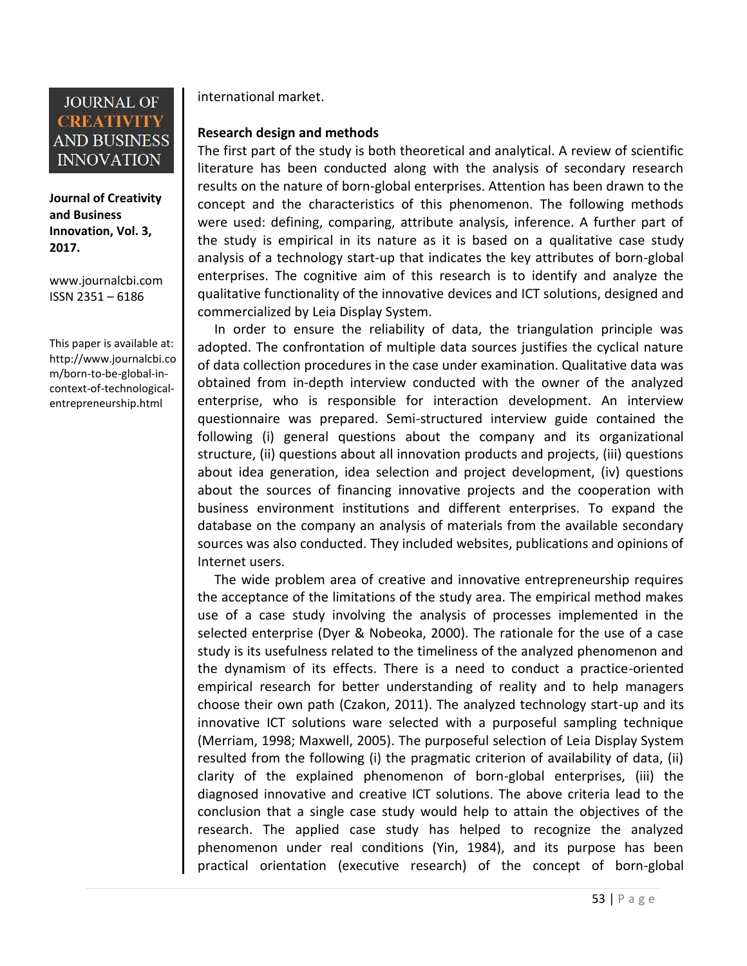

**Journal of Creativity and Business Innovation, Vol. 3, 2017.**

[www.journalcbi.com](http://www.journalcbi.com/) ISSN 2351 – 6186

This paper is available at: [http://www.journalcbi.co](http://www.journalcbi.com/ideation-using-analogies.html) [m/born-to-be-global-in](http://www.journalcbi.com/ideation-using-analogies.html)[context-of-technological](http://www.journalcbi.com/ideation-using-analogies.html)[entrepreneurship.html](http://www.journalcbi.com/ideation-using-analogies.html)

international market.

#### **Research design and methods**

The first part of the study is both theoretical and analytical. A review of scientific literature has been conducted along with the analysis of secondary research results on the nature of born-global enterprises. Attention has been drawn to the concept and the characteristics of this phenomenon. The following methods were used: defining, comparing, attribute analysis, inference. A further part of the study is empirical in its nature as it is based on a qualitative case study analysis of a technology start-up that indicates the key attributes of born-global enterprises. The cognitive aim of this research is to identify and analyze the qualitative functionality of the innovative devices and ICT solutions, designed and commercialized by Leia Display System.

 In order to ensure the reliability of data, the triangulation principle was adopted. The confrontation of multiple data sources justifies the cyclical nature of data collection procedures in the case under examination. Qualitative data was obtained from in-depth interview conducted with the owner of the analyzed enterprise, who is responsible for interaction development. An interview questionnaire was prepared. Semi-structured interview guide contained the following (i) general questions about the company and its organizational structure, (ii) questions about all innovation products and projects, (iii) questions about idea generation, idea selection and project development, (iv) questions about the sources of financing innovative projects and the cooperation with business environment institutions and different enterprises. To expand the database on the company an analysis of materials from the available secondary sources was also conducted. They included websites, publications and opinions of Internet users.

 The wide problem area of creative and innovative entrepreneurship requires the acceptance of the limitations of the study area. The empirical method makes use of a case study involving the analysis of processes implemented in the selected enterprise (Dyer & Nobeoka, 2000). The rationale for the use of a case study is its usefulness related to the timeliness of the analyzed phenomenon and the dynamism of its effects. There is a need to conduct a practice-oriented empirical research for better understanding of reality and to help managers choose their own path (Czakon, 2011). The analyzed technology start-up and its innovative ICT solutions ware selected with a purposeful sampling technique (Merriam, 1998; Maxwell, 2005). The purposeful selection of Leia Display System resulted from the following (i) the pragmatic criterion of availability of data, (ii) clarity of the explained phenomenon of born-global enterprises, (iii) the diagnosed innovative and creative ICT solutions. The above criteria lead to the conclusion that a single case study would help to attain the objectives of the research. The applied case study has helped to recognize the analyzed phenomenon under real conditions (Yin, 1984), and its purpose has been practical orientation (executive research) of the concept of born-global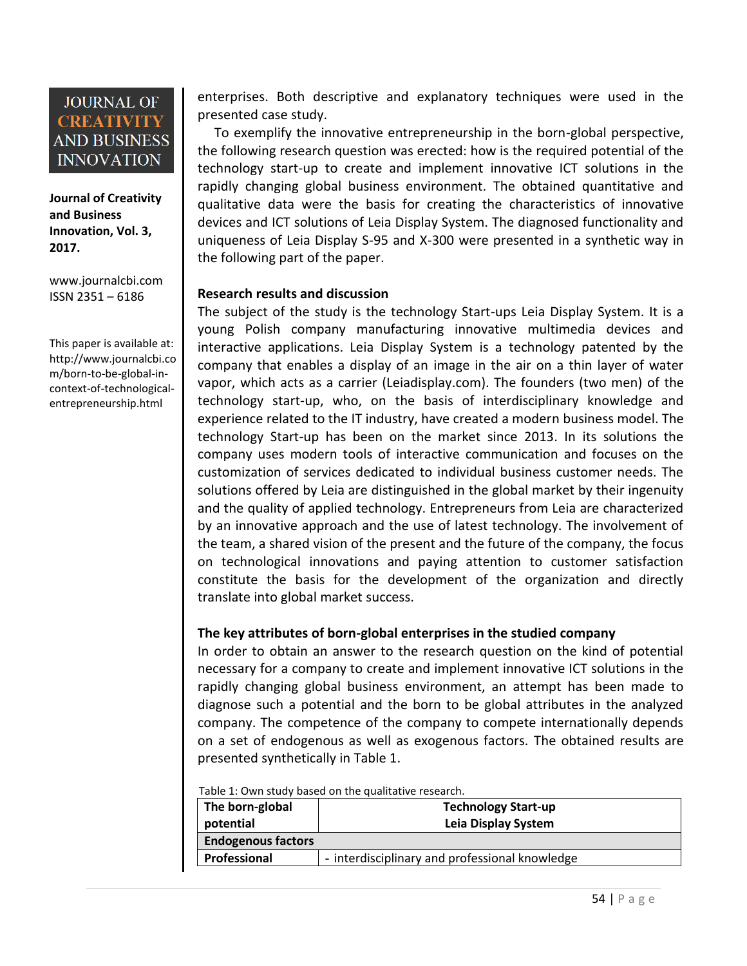**Journal of Creativity and Business Innovation, Vol. 3, 2017.**

[www.journalcbi.com](http://www.journalcbi.com/) ISSN 2351 – 6186

This paper is available at: [http://www.journalcbi.co](http://www.journalcbi.com/ideation-using-analogies.html) [m/born-to-be-global-in](http://www.journalcbi.com/ideation-using-analogies.html)[context-of-technological](http://www.journalcbi.com/ideation-using-analogies.html)[entrepreneurship.html](http://www.journalcbi.com/ideation-using-analogies.html)

enterprises. Both descriptive and explanatory techniques were used in the presented case study.

 To exemplify the innovative entrepreneurship in the born-global perspective, the following research question was erected: how is the required potential of the technology start-up to create and implement innovative ICT solutions in the rapidly changing global business environment. The obtained quantitative and qualitative data were the basis for creating the characteristics of innovative devices and ICT solutions of Leia Display System. The diagnosed functionality and uniqueness of Leia Display S-95 and X-300 were presented in a synthetic way in the following part of the paper.

#### **Research results and discussion**

The subject of the study is the technology Start-ups Leia Display System. It is a young Polish company manufacturing innovative multimedia devices and interactive applications. Leia Display System is a technology patented by the company that enables a display of an image in the air on a thin layer of water vapor, which acts as a carrier (Leiadisplay.com). The founders (two men) of the technology start-up, who, on the basis of interdisciplinary knowledge and experience related to the IT industry, have created a modern business model. The technology Start-up has been on the market since 2013. In its solutions the company uses modern tools of interactive communication and focuses on the customization of services dedicated to individual business customer needs. The solutions offered by Leia are distinguished in the global market by their ingenuity and the quality of applied technology. Entrepreneurs from Leia are characterized by an innovative approach and the use of latest technology. The involvement of the team, a shared vision of the present and the future of the company, the focus on technological innovations and paying attention to customer satisfaction constitute the basis for the development of the organization and directly translate into global market success.

#### **The key attributes of born-global enterprises in the studied company**

In order to obtain an answer to the research question on the kind of potential necessary for a company to create and implement innovative ICT solutions in the rapidly changing global business environment, an attempt has been made to diagnose such a potential and the born to be global attributes in the analyzed company. The competence of the company to compete internationally depends on a set of endogenous as well as exogenous factors. The obtained results are presented synthetically in Table 1.

Table 1: Own study based on the qualitative research.

| The born-global           | <b>Technology Start-up</b>                     |
|---------------------------|------------------------------------------------|
| potential                 | Leia Display System                            |
| <b>Endogenous factors</b> |                                                |
| Professional              | - interdisciplinary and professional knowledge |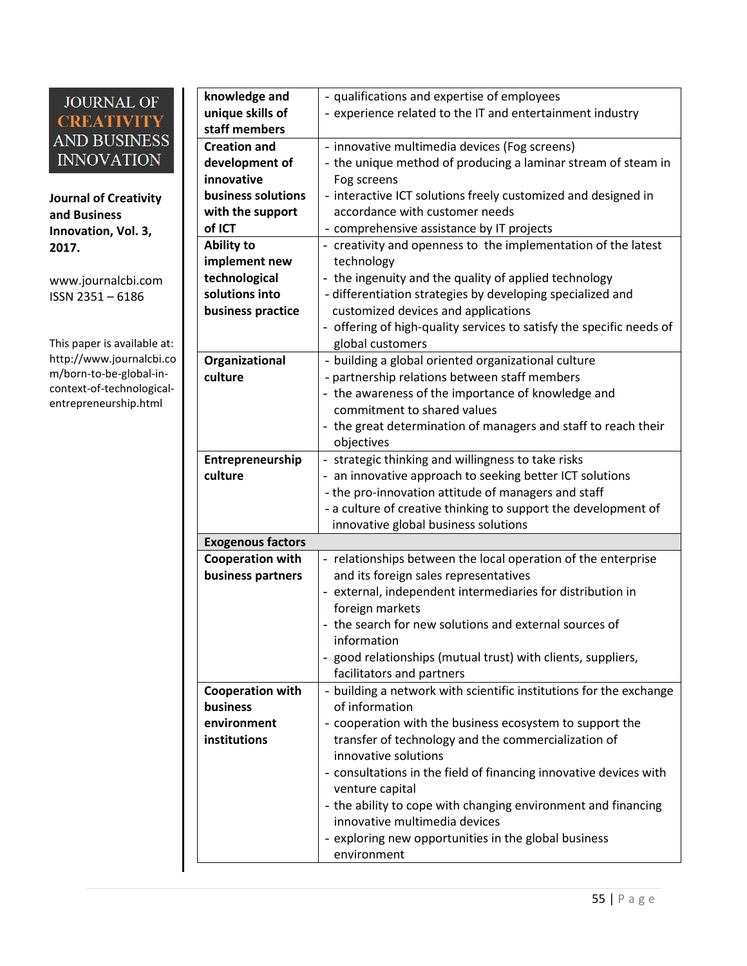**Journal of Creativity and Business Innovation, Vol. 3, 2017.**

[www.journalcbi.com](http://www.journalcbi.com/) ISSN 2351 – 6186

This paper is available at: [http://www.journalcbi.co](http://www.journalcbi.com/ideation-using-analogies.html) [m/born-to-be-global-in](http://www.journalcbi.com/ideation-using-analogies.html)[context-of-technological](http://www.journalcbi.com/ideation-using-analogies.html)[entrepreneurship.html](http://www.journalcbi.com/ideation-using-analogies.html)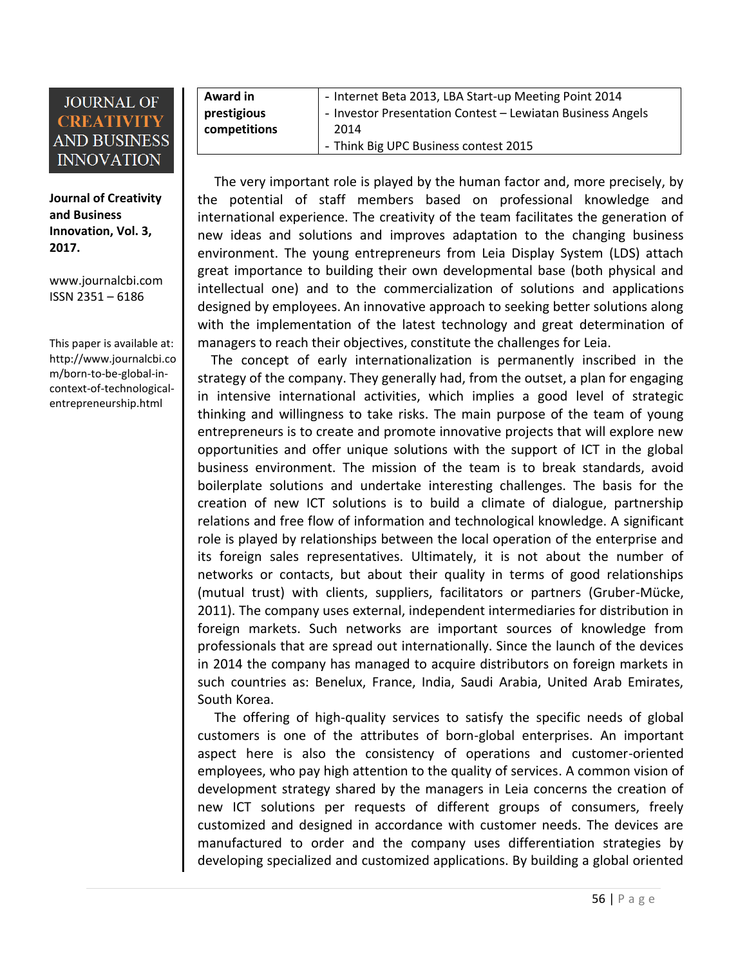**Journal of Creativity and Business Innovation, Vol. 3, 2017.**

[www.journalcbi.com](http://www.journalcbi.com/) ISSN 2351 – 6186

This paper is available at: [http://www.journalcbi.co](http://www.journalcbi.com/ideation-using-analogies.html) [m/born-to-be-global-in](http://www.journalcbi.com/ideation-using-analogies.html)[context-of-technological](http://www.journalcbi.com/ideation-using-analogies.html)[entrepreneurship.html](http://www.journalcbi.com/ideation-using-analogies.html)

| Award in     | - Internet Beta 2013, LBA Start-up Meeting Point 2014      |
|--------------|------------------------------------------------------------|
| prestigious  | - Investor Presentation Contest - Lewiatan Business Angels |
| competitions | 2014                                                       |
|              | - Think Big UPC Business contest 2015                      |

 The very important role is played by the human factor and, more precisely, by the potential of staff members based on professional knowledge and international experience. The creativity of the team facilitates the generation of new ideas and solutions and improves adaptation to the changing business environment. The young entrepreneurs from Leia Display System (LDS) attach great importance to building their own developmental base (both physical and intellectual one) and to the commercialization of solutions and applications designed by employees. An innovative approach to seeking better solutions along with the implementation of the latest technology and great determination of managers to reach their objectives, constitute the challenges for Leia.

 The concept of early internationalization is permanently inscribed in the strategy of the company. They generally had, from the outset, a plan for engaging in intensive international activities, which implies a good level of strategic thinking and willingness to take risks. The main purpose of the team of young entrepreneurs is to create and promote innovative projects that will explore new opportunities and offer unique solutions with the support of ICT in the global business environment. The mission of the team is to break standards, avoid boilerplate solutions and undertake interesting challenges. The basis for the creation of new ICT solutions is to build a climate of dialogue, partnership relations and free flow of information and technological knowledge. A significant role is played by relationships between the local operation of the enterprise and its foreign sales representatives. Ultimately, it is not about the number of networks or contacts, but about their quality in terms of good relationships (mutual trust) with clients, suppliers, facilitators or partners (Gruber-Mücke, 2011). The company uses external, independent intermediaries for distribution in foreign markets. Such networks are important sources of knowledge from professionals that are spread out internationally. Since the launch of the devices in 2014 the company has managed to acquire distributors on foreign markets in such countries as: Benelux, France, India, Saudi Arabia, United Arab Emirates, South Korea.

 The offering of high-quality services to satisfy the specific needs of global customers is one of the attributes of born-global enterprises. An important aspect here is also the consistency of operations and customer-oriented employees, who pay high attention to the quality of services. A common vision of development strategy shared by the managers in Leia concerns the creation of new ICT solutions per requests of different groups of consumers, freely customized and designed in accordance with customer needs. The devices are manufactured to order and the company uses differentiation strategies by developing specialized and customized applications. By building a global oriented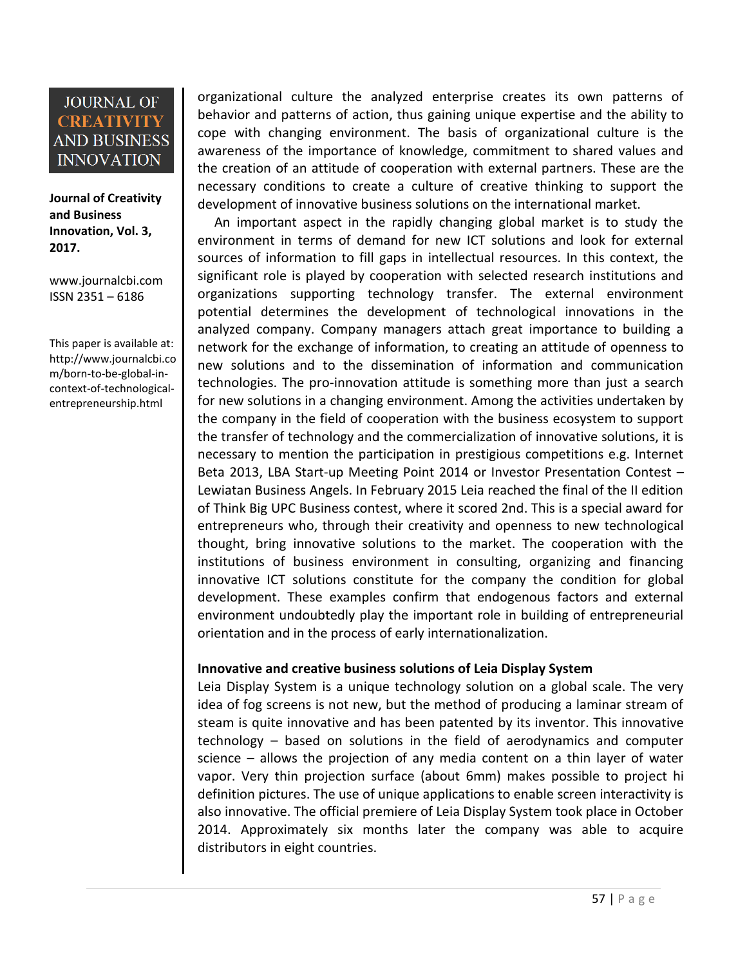**Journal of Creativity and Business Innovation, Vol. 3, 2017.**

[www.journalcbi.com](http://www.journalcbi.com/) ISSN 2351 – 6186

This paper is available at: [http://www.journalcbi.co](http://www.journalcbi.com/ideation-using-analogies.html) [m/born-to-be-global-in](http://www.journalcbi.com/ideation-using-analogies.html)[context-of-technological](http://www.journalcbi.com/ideation-using-analogies.html)[entrepreneurship.html](http://www.journalcbi.com/ideation-using-analogies.html)

organizational culture the analyzed enterprise creates its own patterns of behavior and patterns of action, thus gaining unique expertise and the ability to cope with changing environment. The basis of organizational culture is the awareness of the importance of knowledge, commitment to shared values and the creation of an attitude of cooperation with external partners. These are the necessary conditions to create a culture of creative thinking to support the development of innovative business solutions on the international market.

 An important aspect in the rapidly changing global market is to study the environment in terms of demand for new ICT solutions and look for external sources of information to fill gaps in intellectual resources. In this context, the significant role is played by cooperation with selected research institutions and organizations supporting technology transfer. The external environment potential determines the development of technological innovations in the analyzed company. Company managers attach great importance to building a network for the exchange of information, to creating an attitude of openness to new solutions and to the dissemination of information and communication technologies. The pro-innovation attitude is something more than just a search for new solutions in a changing environment. Among the activities undertaken by the company in the field of cooperation with the business ecosystem to support the transfer of technology and the commercialization of innovative solutions, it is necessary to mention the participation in prestigious competitions e.g. Internet Beta 2013, LBA Start-up Meeting Point 2014 or Investor Presentation Contest – Lewiatan Business Angels. In February 2015 Leia reached the final of the II edition of Think Big UPC Business contest, where it scored 2nd. This is a special award for entrepreneurs who, through their creativity and openness to new technological thought, bring innovative solutions to the market. The cooperation with the institutions of business environment in consulting, organizing and financing innovative ICT solutions constitute for the company the condition for global development. These examples confirm that endogenous factors and external environment undoubtedly play the important role in building of entrepreneurial orientation and in the process of early internationalization.

#### **Innovative and creative business solutions of Leia Display System**

Leia Display System is a unique technology solution on a global scale. The very idea of fog screens is not new, but the method of producing a laminar stream of steam is quite innovative and has been patented by its inventor. This innovative technology – based on solutions in the field of aerodynamics and computer science – allows the projection of any media content on a thin layer of water vapor. Very thin projection surface (about 6mm) makes possible to project hi definition pictures. The use of unique applications to enable screen interactivity is also innovative. The official premiere of Leia Display System took place in October 2014. Approximately six months later the company was able to acquire distributors in eight countries.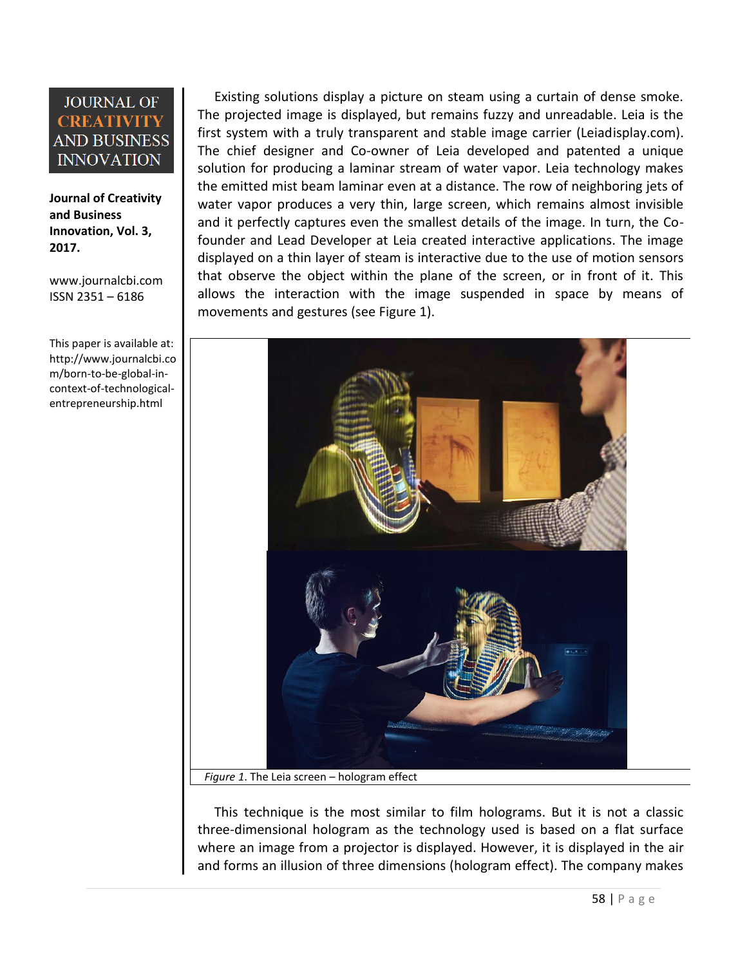**Journal of Creativity and Business Innovation, Vol. 3, 2017.**

[www.journalcbi.com](http://www.journalcbi.com/) ISSN 2351 – 6186

This paper is available at: [http://www.journalcbi.co](http://www.journalcbi.com/ideation-using-analogies.html) [m/born-to-be-global-in](http://www.journalcbi.com/ideation-using-analogies.html)[context-of-technological](http://www.journalcbi.com/ideation-using-analogies.html)[entrepreneurship.html](http://www.journalcbi.com/ideation-using-analogies.html)

 Existing solutions display a picture on steam using a curtain of dense smoke. The projected image is displayed, but remains fuzzy and unreadable. Leia is the first system with a truly transparent and stable image carrier (Leiadisplay.com). The chief designer and Co-owner of Leia developed and patented a unique solution for producing a laminar stream of water vapor. Leia technology makes the emitted mist beam laminar even at a distance. The row of neighboring jets of water vapor produces a very thin, large screen, which remains almost invisible and it perfectly captures even the smallest details of the image. In turn, the Cofounder and Lead Developer at Leia created interactive applications. The image displayed on a thin layer of steam is interactive due to the use of motion sensors that observe the object within the plane of the screen, or in front of it. This allows the interaction with the image suspended in space by means of movements and gestures (see Figure 1).



*Figure 1*. The Leia screen – hologram effect

 This technique is the most similar to film holograms. But it is not a classic three-dimensional hologram as the technology used is based on a flat surface where an image from a projector is displayed. However, it is displayed in the air and forms an illusion of three dimensions (hologram effect). The company makes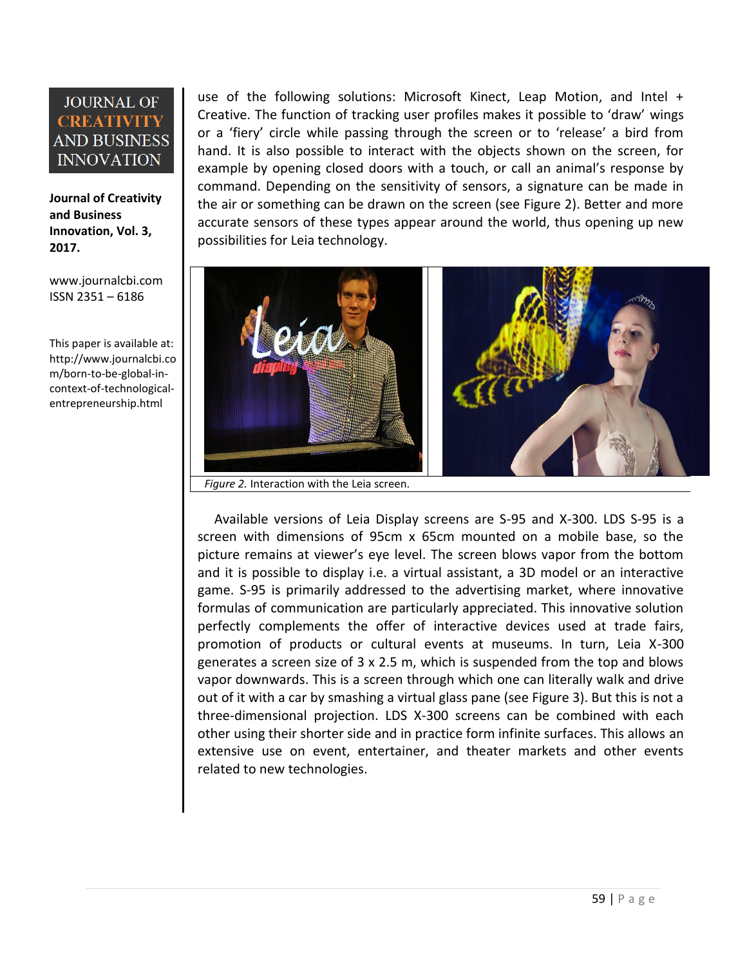**Journal of Creativity and Business Innovation, Vol. 3, 2017.**

[www.journalcbi.com](http://www.journalcbi.com/) ISSN 2351 – 6186

This paper is available at: [http://www.journalcbi.co](http://www.journalcbi.com/ideation-using-analogies.html) [m/born-to-be-global-in](http://www.journalcbi.com/ideation-using-analogies.html)[context-of-technological](http://www.journalcbi.com/ideation-using-analogies.html)[entrepreneurship.html](http://www.journalcbi.com/ideation-using-analogies.html)

use of the following solutions: Microsoft Kinect, Leap Motion, and Intel + Creative. The function of tracking user profiles makes it possible to 'draw' wings or a 'fiery' circle while passing through the screen or to 'release' a bird from hand. It is also possible to interact with the objects shown on the screen, for example by opening closed doors with a touch, or call an animal's response by command. Depending on the sensitivity of sensors, a signature can be made in the air or something can be drawn on the screen (see Figure 2). Better and more accurate sensors of these types appear around the world, thus opening up new possibilities for Leia technology.



*Figure 2.* Interaction with the Leia screen.

 Available versions of Leia Display screens are S-95 and X-300. LDS S-95 is a screen with dimensions of 95cm x 65cm mounted on a mobile base, so the picture remains at viewer's eye level. The screen blows vapor from the bottom and it is possible to display i.e. a virtual assistant, a 3D model or an interactive game. S-95 is primarily addressed to the advertising market, where innovative formulas of communication are particularly appreciated. This innovative solution perfectly complements the offer of interactive devices used at trade fairs, promotion of products or cultural events at museums. In turn, Leia X-300 generates a screen size of 3 x 2.5 m, which is suspended from the top and blows vapor downwards. This is a screen through which one can literally walk and drive out of it with a car by smashing a virtual glass pane (see Figure 3). But this is not a three-dimensional projection. LDS X-300 screens can be combined with each other using their shorter side and in practice form infinite surfaces. This allows an extensive use on event, entertainer, and theater markets and other events related to new technologies.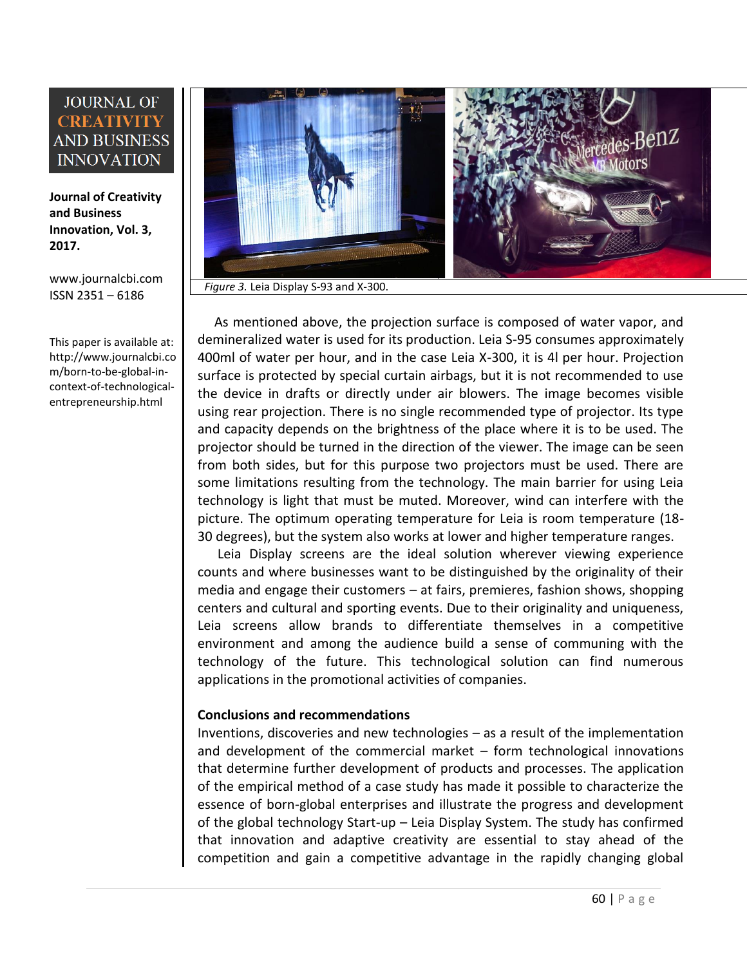**Journal of Creativity and Business Innovation, Vol. 3, 2017.**

[www.journalcbi.com](http://www.journalcbi.com/) ISSN 2351 – 6186

This paper is available at: [http://www.journalcbi.co](http://www.journalcbi.com/ideation-using-analogies.html) [m/born-to-be-global-in](http://www.journalcbi.com/ideation-using-analogies.html)[context-of-technological](http://www.journalcbi.com/ideation-using-analogies.html)[entrepreneurship.html](http://www.journalcbi.com/ideation-using-analogies.html)



 As mentioned above, the projection surface is composed of water vapor, and demineralized water is used for its production. Leia S-95 consumes approximately 400ml of water per hour, and in the case Leia X-300, it is 4l per hour. Projection surface is protected by special curtain airbags, but it is not recommended to use the device in drafts or directly under air blowers. The image becomes visible using rear projection. There is no single recommended type of projector. Its type and capacity depends on the brightness of the place where it is to be used. The projector should be turned in the direction of the viewer. The image can be seen from both sides, but for this purpose two projectors must be used. There are some limitations resulting from the technology. The main barrier for using Leia technology is light that must be muted. Moreover, wind can interfere with the picture. The optimum operating temperature for Leia is room temperature (18- 30 degrees), but the system also works at lower and higher temperature ranges.

 Leia Display screens are the ideal solution wherever viewing experience counts and where businesses want to be distinguished by the originality of their media and engage their customers – at fairs, premieres, fashion shows, shopping centers and cultural and sporting events. Due to their originality and uniqueness, Leia screens allow brands to differentiate themselves in a competitive environment and among the audience build a sense of communing with the technology of the future. This technological solution can find numerous applications in the promotional activities of companies.

#### **Conclusions and recommendations**

Inventions, discoveries and new technologies – as a result of the implementation and development of the commercial market – form technological innovations that determine further development of products and processes. The application of the empirical method of a case study has made it possible to characterize the essence of born-global enterprises and illustrate the progress and development of the global technology Start-up – Leia Display System. The study has confirmed that innovation and adaptive creativity are essential to stay ahead of the competition and gain a competitive advantage in the rapidly changing global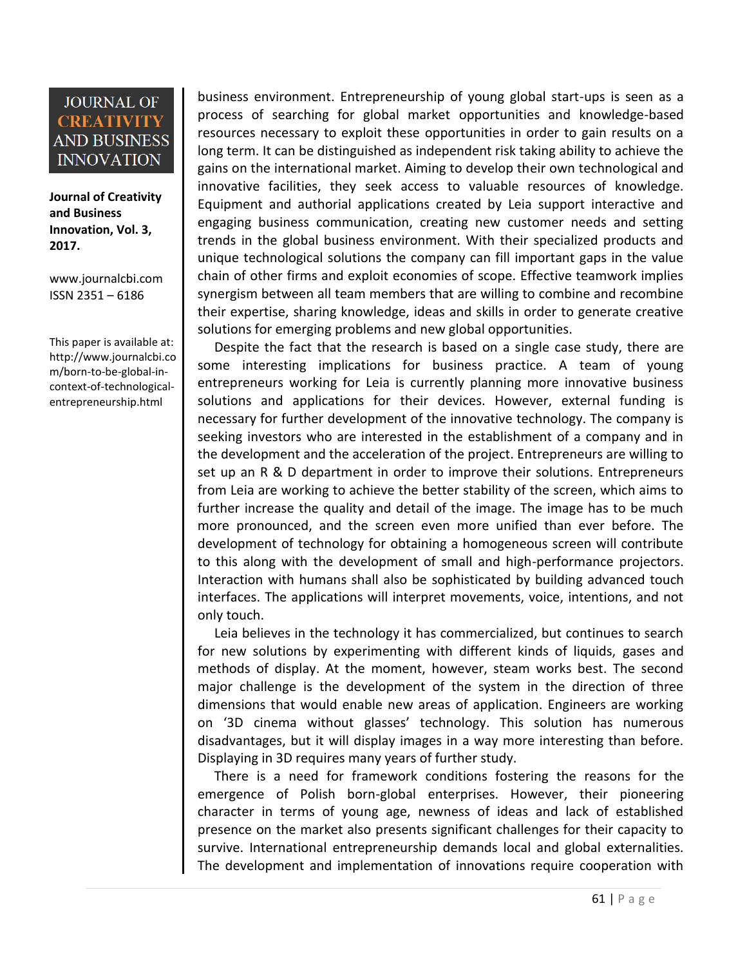**Journal of Creativity and Business Innovation, Vol. 3, 2017.**

[www.journalcbi.com](http://www.journalcbi.com/) ISSN 2351 – 6186

This paper is available at: [http://www.journalcbi.co](http://www.journalcbi.com/ideation-using-analogies.html) [m/born-to-be-global-in](http://www.journalcbi.com/ideation-using-analogies.html)[context-of-technological](http://www.journalcbi.com/ideation-using-analogies.html)[entrepreneurship.html](http://www.journalcbi.com/ideation-using-analogies.html)

business environment. Entrepreneurship of young global start-ups is seen as a process of searching for global market opportunities and knowledge-based resources necessary to exploit these opportunities in order to gain results on a long term. It can be distinguished as independent risk taking ability to achieve the gains on the international market. Aiming to develop their own technological and innovative facilities, they seek access to valuable resources of knowledge. Equipment and authorial applications created by Leia support interactive and engaging business communication, creating new customer needs and setting trends in the global business environment. With their specialized products and unique technological solutions the company can fill important gaps in the value chain of other firms and exploit economies of scope. Effective teamwork implies synergism between all team members that are willing to combine and recombine their expertise, sharing knowledge, ideas and skills in order to generate creative solutions for emerging problems and new global opportunities.

 Despite the fact that the research is based on a single case study, there are some interesting implications for business practice. A team of young entrepreneurs working for Leia is currently planning more innovative business solutions and applications for their devices. However, external funding is necessary for further development of the innovative technology. The company is seeking investors who are interested in the establishment of a company and in the development and the acceleration of the project. Entrepreneurs are willing to set up an R & D department in order to improve their solutions. Entrepreneurs from Leia are working to achieve the better stability of the screen, which aims to further increase the quality and detail of the image. The image has to be much more pronounced, and the screen even more unified than ever before. The development of technology for obtaining a homogeneous screen will contribute to this along with the development of small and high-performance projectors. Interaction with humans shall also be sophisticated by building advanced touch interfaces. The applications will interpret movements, voice, intentions, and not only touch.

 Leia believes in the technology it has commercialized, but continues to search for new solutions by experimenting with different kinds of liquids, gases and methods of display. At the moment, however, steam works best. The second major challenge is the development of the system in the direction of three dimensions that would enable new areas of application. Engineers are working on '3D cinema without glasses' technology. This solution has numerous disadvantages, but it will display images in a way more interesting than before. Displaying in 3D requires many years of further study.

 There is a need for framework conditions fostering the reasons for the emergence of Polish born-global enterprises. However, their pioneering character in terms of young age, newness of ideas and lack of established presence on the market also presents significant challenges for their capacity to survive. International entrepreneurship demands local and global externalities. The development and implementation of innovations require cooperation with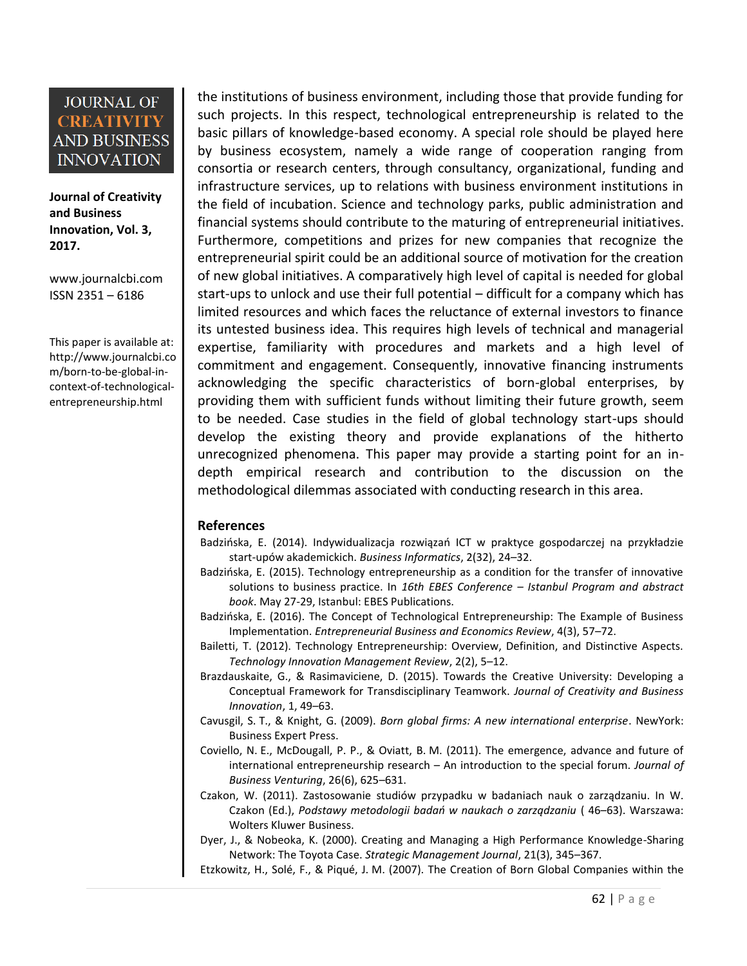**Journal of Creativity and Business Innovation, Vol. 3, 2017.**

[www.journalcbi.com](http://www.journalcbi.com/) ISSN 2351 – 6186

This paper is available at: [http://www.journalcbi.co](http://www.journalcbi.com/ideation-using-analogies.html) [m/born-to-be-global-in](http://www.journalcbi.com/ideation-using-analogies.html)[context-of-technological](http://www.journalcbi.com/ideation-using-analogies.html)[entrepreneurship.html](http://www.journalcbi.com/ideation-using-analogies.html)

the institutions of business environment, including those that provide funding for such projects. In this respect, technological entrepreneurship is related to the basic pillars of knowledge-based economy. A special role should be played here by business ecosystem, namely a wide range of cooperation ranging from consortia or research centers, through consultancy, organizational, funding and infrastructure services, up to relations with business environment institutions in the field of incubation. Science and technology parks, public administration and financial systems should contribute to the maturing of entrepreneurial initiatives. Furthermore, competitions and prizes for new companies that recognize the entrepreneurial spirit could be an additional source of motivation for the creation of new global initiatives. A comparatively high level of capital is needed for global start-ups to unlock and use their full potential – difficult for a company which has limited resources and which faces the reluctance of external investors to finance its untested business idea. This requires high levels of technical and managerial expertise, familiarity with procedures and markets and a high level of commitment and engagement. Consequently, innovative financing instruments acknowledging the specific characteristics of born-global enterprises, by providing them with sufficient funds without limiting their future growth, seem to be needed. Case studies in the field of global technology start-ups should develop the existing theory and provide explanations of the hitherto unrecognized phenomena. This paper may provide a starting point for an indepth empirical research and contribution to the discussion on the methodological dilemmas associated with conducting research in this area.

#### **References**

- Badzińska, E. (2014). Indywidualizacja rozwiązań ICT w praktyce gospodarczej na przykładzie start-upów akademickich. *Business Informatics*, 2(32), 24–32.
- Badzińska, E. (2015). Technology entrepreneurship as a condition for the transfer of innovative solutions to business practice. In *16th EBES Conference – Istanbul Program and abstract book*. May 27-29, Istanbul: EBES Publications.
- Badzińska, E. (2016). The Concept of Technological Entrepreneurship: The Example of Business Implementation. *Entrepreneurial Business and Economics Review*, 4(3), 57–72.
- Bailetti, T. (2012). Technology Entrepreneurship: Overview, Definition, and Distinctive Aspects. *Technology Innovation Management Review*, 2(2), 5–12.
- Brazdauskaite, G., & Rasimaviciene, D. (2015). Towards the Creative University: Developing a Conceptual Framework for Transdisciplinary Teamwork. *Journal of Creativity and Business Innovation*, 1, 49–63.
- Cavusgil, S. T., & Knight, G. (2009). *Born global firms: A new international enterprise*. NewYork: Business Expert Press.
- Coviello, N. E., McDougall, P. P., & Oviatt, B. M. (2011). The emergence, advance and future of international entrepreneurship research – An introduction to the special forum. *Journal of Business Venturing*, 26(6), 625–631.
- Czakon, W. (2011). Zastosowanie studiów przypadku w badaniach nauk o zarządzaniu. In W. Czakon (Ed.), Podstawy metodologii badań w naukach o zarządzaniu (46–63). Warszawa: Wolters Kluwer Business.
- Dyer, J., & Nobeoka, K. (2000). Creating and Managing a High Performance Knowledge-Sharing Network: The Toyota Case. *Strategic Management Journal*, 21(3), 345–367.
- Etzkowitz, H., Solé, F., & Piqué, J. M. (2007). The Creation of Born Global Companies within the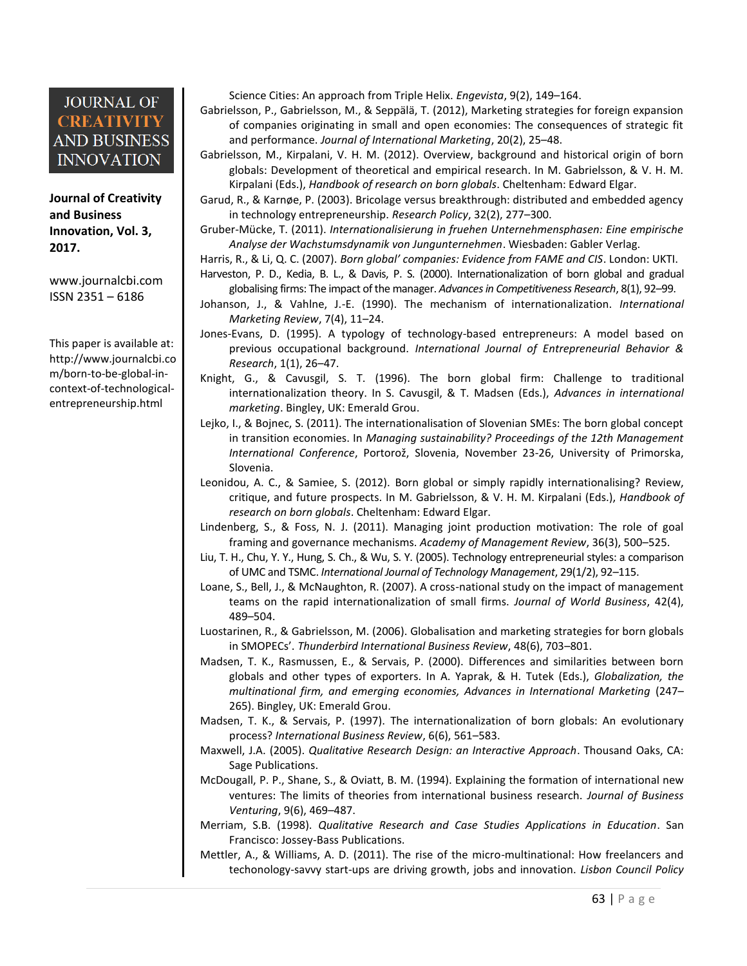**Journal of Creativity and Business Innovation, Vol. 3, 2017.**

[www.journalcbi.com](http://www.journalcbi.com/) ISSN 2351 – 6186

This paper is available at: [http://www.journalcbi.co](http://www.journalcbi.com/ideation-using-analogies.html) [m/born-to-be-global-in](http://www.journalcbi.com/ideation-using-analogies.html)[context-of-technological](http://www.journalcbi.com/ideation-using-analogies.html)[entrepreneurship.html](http://www.journalcbi.com/ideation-using-analogies.html)

Science Cities: An approach from Triple Helix. *Engevista*, 9(2), 149–164.

- Gabrielsson, P., Gabrielsson, M., & Seppälä, T. (2012), Marketing strategies for foreign expansion of companies originating in small and open economies: The consequences of strategic fit and performance. *Journal of International Marketing*, 20(2), 25–48.
- Gabrielsson, M., Kirpalani, V. H. M. (2012). Overview, background and historical origin of born globals: Development of theoretical and empirical research. In M. Gabrielsson, & V. H. M. Kirpalani (Eds.), *Handbook of research on born globals*. Cheltenham: Edward Elgar.
- Garud, R., & Karnøe, P. (2003). Bricolage versus breakthrough: distributed and embedded agency in technology entrepreneurship. *Research Policy*, 32(2), 277–300.
- Gruber-Mücke, T. (2011). *Internationalisierung in fruehen Unternehmensphasen: Eine empirische Analyse der Wachstumsdynamik von Jungunternehmen*. Wiesbaden: Gabler Verlag.

Harris, R., & Li, Q. C. (2007). *Born global' companies: Evidence from FAME and CIS*. London: UKTI.

- Harveston, P. D., Kedia, B. L., & Davis, P. S. (2000). Internationalization of born global and gradual globalising firms: The impact of the manager. *Advances in Competitiveness Research*, 8(1), 92–99.
- Johanson, J., & Vahlne, J.-E. (1990). The mechanism of internationalization. *International Marketing Review*, 7(4), 11–24.
- Jones-Evans, D. (1995). A typology of technology-based entrepreneurs: A model based on previous occupational background. *International Journal of Entrepreneurial Behavior & Research*, 1(1), 26–47.
- Knight, G., & Cavusgil, S. T. (1996). The born global firm: Challenge to traditional internationalization theory. In S. Cavusgil, & T. Madsen (Eds.), *Advances in international marketing*. Bingley, UK: Emerald Grou.
- Lejko, I., & Bojnec, S. (2011). The internationalisation of Slovenian SMEs: The born global concept in transition economies. In *Managing sustainability? Proceedings of the 12th Management International Conference*, Portorož, Slovenia, November 23-26, University of Primorska, Slovenia.
- Leonidou, A. C., & Samiee, S. (2012). Born global or simply rapidly internationalising? Review, critique, and future prospects. In M. Gabrielsson, & V. H. M. Kirpalani (Eds.), *Handbook of research on born globals*. Cheltenham: Edward Elgar.
- Lindenberg, S., & Foss, N. J. (2011). Managing joint production motivation: The role of goal framing and governance mechanisms. *Academy of Management Review*, 36(3), 500–525.
- Liu, T. H., Chu, Y. Y., Hung, S. Ch., & Wu, S. Y. (2005). Technology entrepreneurial styles: a comparison of UMC and TSMC. *International Journal of Technology Management*, 29(1/2), 92–115.
- Loane, S., Bell, J., & McNaughton, R. (2007). A cross-national study on the impact of management teams on the rapid internationalization of small firms. *Journal of World Business*, 42(4), 489–504.
- Luostarinen, R., & Gabrielsson, M. (2006). Globalisation and marketing strategies for born globals in SMOPECs'. *Thunderbird International Business Review*, 48(6), 703–801.
- Madsen, T. K., Rasmussen, E., & Servais, P. (2000). Differences and similarities between born globals and other types of exporters. In A. Yaprak, & H. Tutek (Eds.), *Globalization, the multinational firm, and emerging economies, Advances in International Marketing* (247– 265). Bingley, UK: Emerald Grou.
- Madsen, T. K., & Servais, P. (1997). The internationalization of born globals: An evolutionary process? *International Business Review*, 6(6), 561–583.
- Maxwell, J.A. (2005). *Qualitative Research Design: an Interactive Approach*. Thousand Oaks, CA: Sage Publications.
- McDougall, P. P., Shane, S., & Oviatt, B. M. (1994). Explaining the formation of international new ventures: The limits of theories from international business research. *Journal of Business Venturing*, 9(6), 469–487.
- Merriam, S.B. (1998). *Qualitative Research and Case Studies Applications in Education*. San Francisco: Jossey-Bass Publications.
- Mettler, A., & Williams, A. D. (2011). The rise of the micro-multinational: How freelancers and techonology-savvy start-ups are driving growth, jobs and innovation. *Lisbon Council Policy*